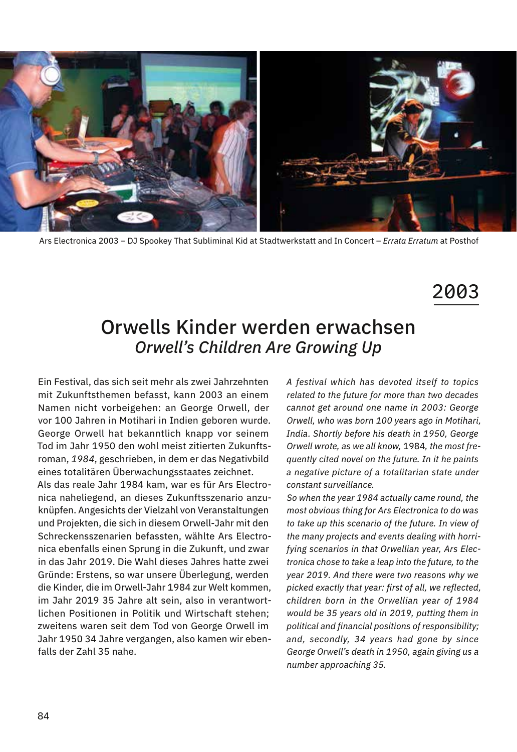

Ars Electronica 2003 – DJ Spookey That Subliminal Kid at Stadtwerkstatt and In Concert – *Errata Erratum* at Posthof

## 2003

## Orwells Kinder werden erwachsen *Orwell's Children Are Growing Up*

Ein Festival, das sich seit mehr als zwei Jahrzehnten mit Zukunftsthemen befasst, kann 2003 an einem Namen nicht vorbeigehen: an George Orwell, der vor 100 Jahren in Motihari in Indien geboren wurde. George Orwell hat bekanntlich knapp vor seinem Tod im Jahr 1950 den wohl meist zitierten Zukunftsroman, *1984*, geschrieben, in dem er das Negativbild eines totalitären Überwachungsstaates zeichnet.

Als das reale Jahr 1984 kam, war es für Ars Electronica naheliegend, an dieses Zukunftsszenario anzuknüpfen. Angesichts der Vielzahl von Veranstaltungen und Projekten, die sich in diesem Orwell-Jahr mit den Schreckensszenarien befassten, wählte Ars Electronica ebenfalls einen Sprung in die Zukunft, und zwar in das Jahr 2019. Die Wahl dieses Jahres hatte zwei Gründe: Erstens, so war unsere Überlegung, werden die Kinder, die im Orwell-Jahr 1984 zur Welt kommen, im Jahr 2019 35 Jahre alt sein, also in verantwortlichen Positionen in Politik und Wirtschaft stehen; zweitens waren seit dem Tod von George Orwell im Jahr 1950 34 Jahre vergangen, also kamen wir ebenfalls der Zahl 35 nahe.

*A festival which has devoted itself to topics related to the future for more than two decades cannot get around one name in 2003: George Orwell, who was born 100 years ago in Motihari, India. Shortly before his death in 1950, George Orwell wrote, as we all know,* 1984*, the most frequently cited novel on the future. In it he paints a negative picture of a totalitarian state under constant surveillance.*

*So when the year 1984 actually came round, the most obvious thing for Ars Electronica to do was to take up this scenario of the future. In view of the many projects and events dealing with horrifying scenarios in that Orwellian year, Ars Electronica chose to take a leap into the future, to the year 2019. And there were two reasons why we picked exactly that year: first of all, we reflected, children born in the Orwellian year of 1984 would be 35 years old in 2019, putting them in political and financial positions of responsibility; and, secondly, 34 years had gone by since George Orwell's death in 1950, again giving us a number approaching 35.*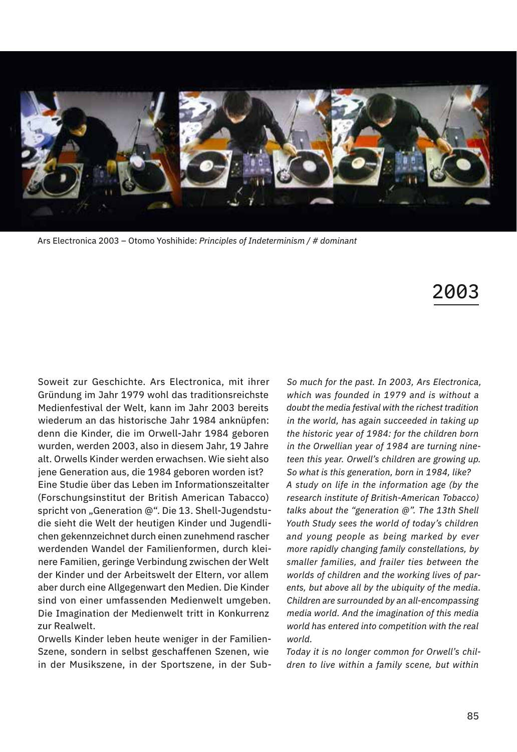

Ars Electronica 2003 – Otomo Yoshihide: *Principles of Indeterminism / # dominant*

## 2003

Soweit zur Geschichte. Ars Electronica, mit ihrer Gründung im Jahr 1979 wohl das traditionsreichste Medienfestival der Welt, kann im Jahr 2003 bereits wiederum an das historische Jahr 1984 anknüpfen: denn die Kinder, die im Orwell-Jahr 1984 geboren wurden, werden 2003, also in diesem Jahr, 19 Jahre alt. Orwells Kinder werden erwachsen. Wie sieht also jene Generation aus, die 1984 geboren worden ist? Eine Studie über das Leben im Informationszeitalter (Forschungsinstitut der British American Tabacco) spricht von "Generation @". Die 13. Shell-Jugendstudie sieht die Welt der heutigen Kinder und Jugendlichen gekennzeichnet durch einen zunehmend rascher werdenden Wandel der Familienformen, durch kleinere Familien, geringe Verbindung zwischen der Welt der Kinder und der Arbeitswelt der Eltern, vor allem aber durch eine Allgegenwart den Medien. Die Kinder sind von einer umfassenden Medienwelt umgeben. Die Imagination der Medienwelt tritt in Konkurrenz zur Realwelt.

Orwells Kinder leben heute weniger in der Familien-Szene, sondern in selbst geschaffenen Szenen, wie in der Musikszene, in der Sportszene, in der Sub-

*So much for the past. In 2003, Ars Electronica, which was founded in 1979 and is without a doubt the media festival with the richest tradition in the world, has again succeeded in taking up the historic year of 1984: for the children born in the Orwellian year of 1984 are turning nineteen this year. Orwell's children are growing up. So what is this generation, born in 1984, like? A study on life in the information age (by the research institute of British-American Tobacco) talks about the "generation @". The 13th Shell Youth Study sees the world of today's children and young people as being marked by ever more rapidly changing family constellations, by smaller families, and frailer ties between the worlds of children and the working lives of parents, but above all by the ubiquity of the media. Children are surrounded by an all-encompassing media world. And the imagination of this media world has entered into competition with the real world.*

*Today it is no longer common for Orwell's children to live within a family scene, but within*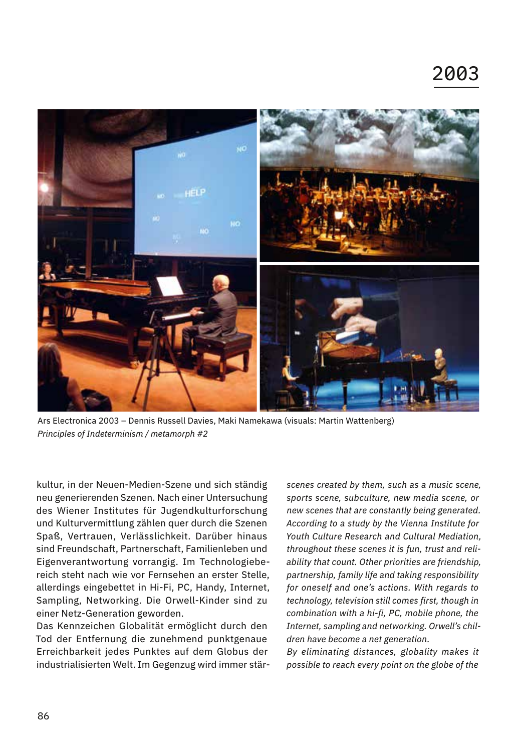

Ars Electronica 2003 – Dennis Russell Davies, Maki Namekawa (visuals: Martin Wattenberg) *Principles of Indeterminism / metamorph #2*

kultur, in der Neuen-Medien-Szene und sich ständig neu generierenden Szenen. Nach einer Untersuchung des Wiener Institutes für Jugendkulturforschung und Kulturvermittlung zählen quer durch die Szenen Spaß, Vertrauen, Verlässlichkeit. Darüber hinaus sind Freundschaft, Partnerschaft, Familienleben und Eigenverantwortung vorrangig. Im Technologiebereich steht nach wie vor Fernsehen an erster Stelle, allerdings eingebettet in Hi-Fi, PC, Handy, Internet, Sampling, Networking. Die Orwell-Kinder sind zu einer Netz-Generation geworden.

Das Kennzeichen Globalität ermöglicht durch den Tod der Entfernung die zunehmend punktgenaue Erreichbarkeit jedes Punktes auf dem Globus der industrialisierten Welt. Im Gegenzug wird immer stär*scenes created by them, such as a music scene, sports scene, subculture, new media scene, or new scenes that are constantly being generated. According to a study by the Vienna Institute for Youth Culture Research and Cultural Mediation, throughout these scenes it is fun, trust and reliability that count. Other priorities are friendship, partnership, family life and taking responsibility for oneself and one's actions. With regards to technology, television still comes first, though in combination with a hi-fi, PC, mobile phone, the Internet, sampling and networking. Orwell's children have become a net generation.*

*By eliminating distances, globality makes it possible to reach every point on the globe of the*